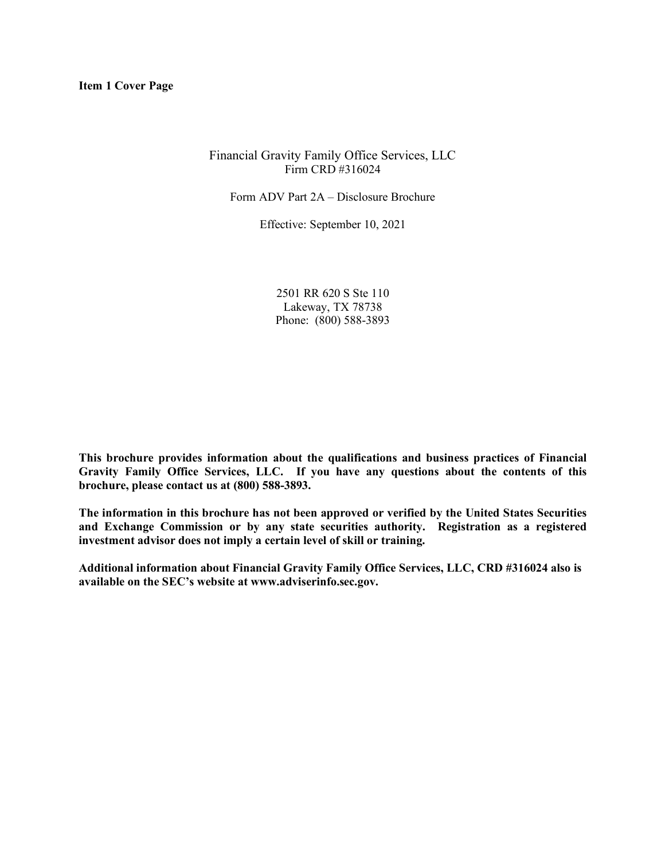# Financial Gravity Family Office Services, LLC Firm CRD #316024

Form ADV Part 2A – Disclosure Brochure

Effective: September 10, 2021

2501 RR 620 S Ste 110 Lakeway, TX 78738 Phone: (800) 588-3893

**This brochure provides information about the qualifications and business practices of Financial Gravity Family Office Services, LLC. If you have any questions about the contents of this brochure, please contact us at (800) 588-3893.** 

**The information in this brochure has not been approved or verified by the United States Securities and Exchange Commission or by any state securities authority. Registration as a registered investment advisor does not imply a certain level of skill or training.**

**Additional information about Financial Gravity Family Office Services, LLC, CRD #316024 also is available on the SEC's website at www.adviserinfo.sec.gov.**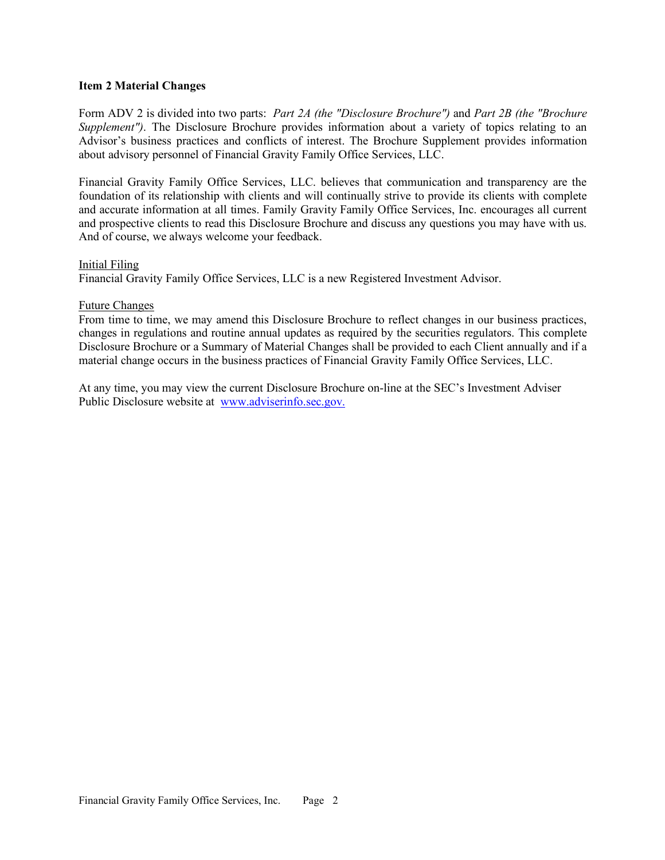### **Item 2 Material Changes**

Form ADV 2 is divided into two parts: *Part 2A (the "Disclosure Brochure")* and *Part 2B (the "Brochure Supplement"*). The Disclosure Brochure provides information about a variety of topics relating to an Advisor's business practices and conflicts of interest. The Brochure Supplement provides information about advisory personnel of Financial Gravity Family Office Services, LLC.

Financial Gravity Family Office Services, LLC. believes that communication and transparency are the foundation of its relationship with clients and will continually strive to provide its clients with complete and accurate information at all times. Family Gravity Family Office Services, Inc. encourages all current and prospective clients to read this Disclosure Brochure and discuss any questions you may have with us. And of course, we always welcome your feedback.

### Initial Filing

Financial Gravity Family Office Services, LLC is a new Registered Investment Advisor.

## Future Changes

From time to time, we may amend this Disclosure Brochure to reflect changes in our business practices, changes in regulations and routine annual updates as required by the securities regulators. This complete Disclosure Brochure or a Summary of Material Changes shall be provided to each Client annually and if a material change occurs in the business practices of Financial Gravity Family Office Services, LLC.

At any time, you may view the current Disclosure Brochure on-line at the SEC's Investment Adviser Public Disclosure website at www.adviserinfo.sec.gov.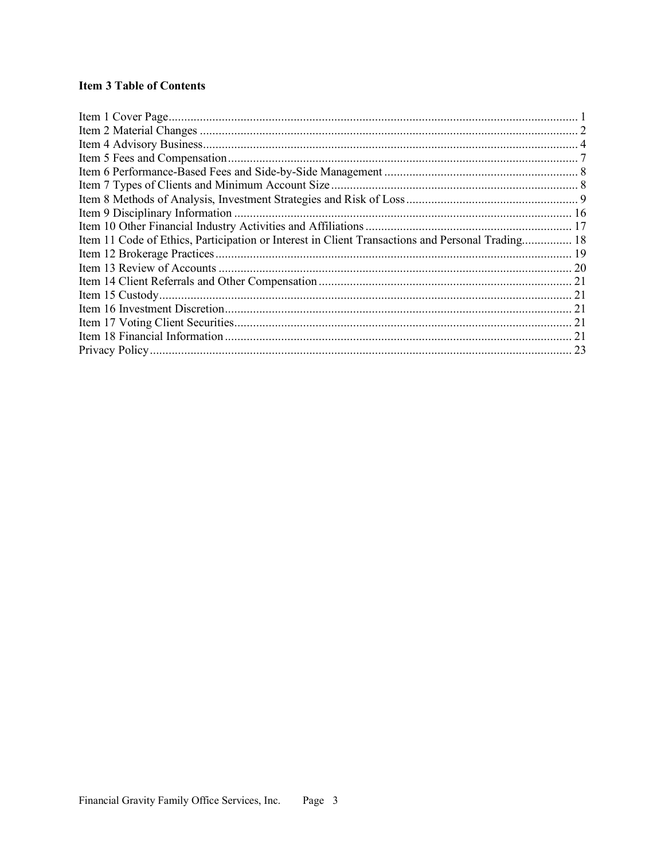# **Item 3 Table of Contents**

| Item 11 Code of Ethics, Participation or Interest in Client Transactions and Personal Trading 18 |    |
|--------------------------------------------------------------------------------------------------|----|
|                                                                                                  |    |
|                                                                                                  |    |
|                                                                                                  |    |
|                                                                                                  |    |
|                                                                                                  | 21 |
|                                                                                                  | 21 |
|                                                                                                  | 21 |
|                                                                                                  | 23 |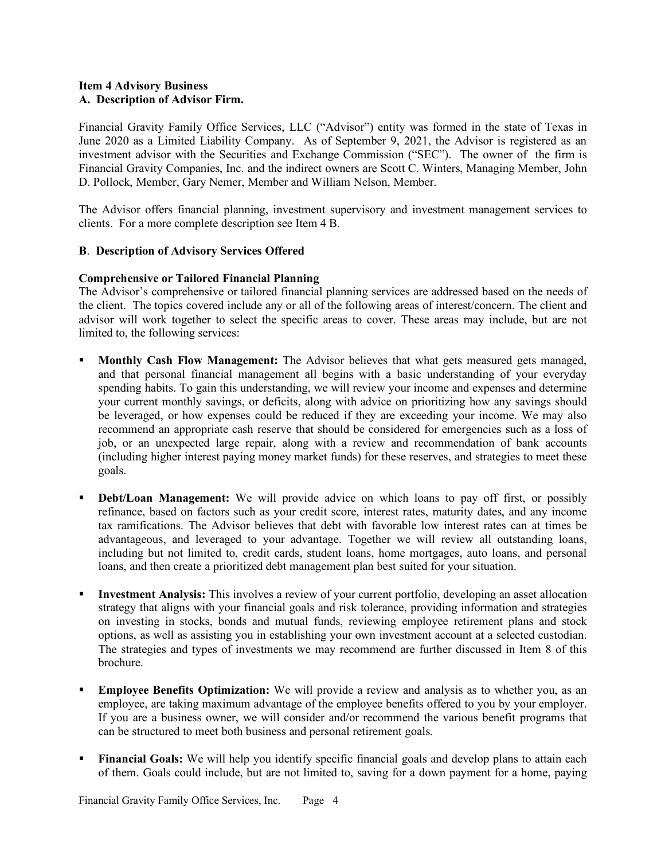## **Item 4 Advisory Business A. Description of Advisor Firm.**

Financial Gravity Family Office Services, LLC ("Advisor") entity was formed in the state of Texas in June 2020 as a Limited Liability Company. As of September 9, 2021, the Advisor is registered as an investment advisor with the Securities and Exchange Commission ("SEC"). The owner of the firm is Financial Gravity Companies, Inc. and the indirect owners are Scott C. Winters, Managing Member, John D. Pollock, Member, Gary Nemer, Member and William Nelson, Member.

The Advisor offers financial planning, investment supervisory and investment management services to clients. For a more complete description see Item 4 B.

# **B**. **Description of Advisory Services Offered**

# **Comprehensive or Tailored Financial Planning**

The Advisor's comprehensive or tailored financial planning services are addressed based on the needs of the client. The topics covered include any or all of the following areas of interest/concern. The client and advisor will work together to select the specific areas to cover. These areas may include, but are not limited to, the following services:

- § **Monthly Cash Flow Management:** The Advisor believes that what gets measured gets managed, and that personal financial management all begins with a basic understanding of your everyday spending habits. To gain this understanding, we will review your income and expenses and determine your current monthly savings, or deficits, along with advice on prioritizing how any savings should be leveraged, or how expenses could be reduced if they are exceeding your income. We may also recommend an appropriate cash reserve that should be considered for emergencies such as a loss of job, or an unexpected large repair, along with a review and recommendation of bank accounts (including higher interest paying money market funds) for these reserves, and strategies to meet these goals.
- **Debt/Loan Management:** We will provide advice on which loans to pay off first, or possibly refinance, based on factors such as your credit score, interest rates, maturity dates, and any income tax ramifications. The Advisor believes that debt with favorable low interest rates can at times be advantageous, and leveraged to your advantage. Together we will review all outstanding loans, including but not limited to, credit cards, student loans, home mortgages, auto loans, and personal loans, and then create a prioritized debt management plan best suited for your situation.
- § **Investment Analysis:** This involves a review of your current portfolio, developing an asset allocation strategy that aligns with your financial goals and risk tolerance, providing information and strategies on investing in stocks, bonds and mutual funds, reviewing employee retirement plans and stock options, as well as assisting you in establishing your own investment account at a selected custodian. The strategies and types of investments we may recommend are further discussed in Item 8 of this brochure.
- **Employee Benefits Optimization:** We will provide a review and analysis as to whether you, as an employee, are taking maximum advantage of the employee benefits offered to you by your employer. If you are a business owner, we will consider and/or recommend the various benefit programs that can be structured to meet both business and personal retirement goals.
- **Financial Goals:** We will help you identify specific financial goals and develop plans to attain each of them. Goals could include, but are not limited to, saving for a down payment for a home, paying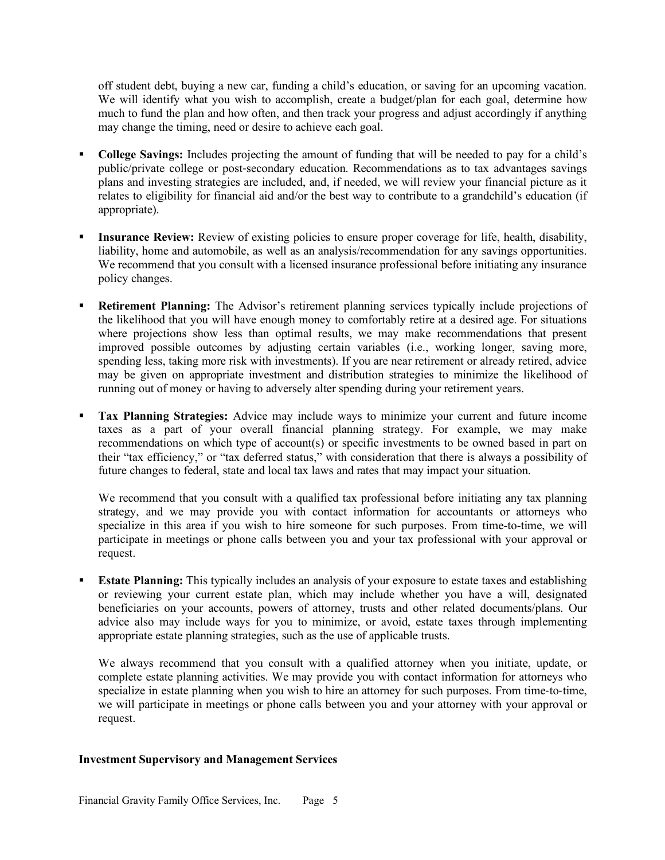off student debt, buying a new car, funding a child's education, or saving for an upcoming vacation. We will identify what you wish to accomplish, create a budget/plan for each goal, determine how much to fund the plan and how often, and then track your progress and adjust accordingly if anything may change the timing, need or desire to achieve each goal.

- § **College Savings:** Includes projecting the amount of funding that will be needed to pay for a child's public/private college or post-secondary education. Recommendations as to tax advantages savings plans and investing strategies are included, and, if needed, we will review your financial picture as it relates to eligibility for financial aid and/or the best way to contribute to a grandchild's education (if appropriate).
- **Insurance Review:** Review of existing policies to ensure proper coverage for life, health, disability, liability, home and automobile, as well as an analysis/recommendation for any savings opportunities. We recommend that you consult with a licensed insurance professional before initiating any insurance policy changes.
- **Retirement Planning:** The Advisor's retirement planning services typically include projections of the likelihood that you will have enough money to comfortably retire at a desired age. For situations where projections show less than optimal results, we may make recommendations that present improved possible outcomes by adjusting certain variables (i.e., working longer, saving more, spending less, taking more risk with investments). If you are near retirement or already retired, advice may be given on appropriate investment and distribution strategies to minimize the likelihood of running out of money or having to adversely alter spending during your retirement years.
- § **Tax Planning Strategies:** Advice may include ways to minimize your current and future income taxes as a part of your overall financial planning strategy. For example, we may make recommendations on which type of account(s) or specific investments to be owned based in part on their "tax efficiency," or "tax deferred status," with consideration that there is always a possibility of future changes to federal, state and local tax laws and rates that may impact your situation.

We recommend that you consult with a qualified tax professional before initiating any tax planning strategy, and we may provide you with contact information for accountants or attorneys who specialize in this area if you wish to hire someone for such purposes. From time-to-time, we will participate in meetings or phone calls between you and your tax professional with your approval or request.

**Estate Planning:** This typically includes an analysis of your exposure to estate taxes and establishing or reviewing your current estate plan, which may include whether you have a will, designated beneficiaries on your accounts, powers of attorney, trusts and other related documents/plans. Our advice also may include ways for you to minimize, or avoid, estate taxes through implementing appropriate estate planning strategies, such as the use of applicable trusts.

We always recommend that you consult with a qualified attorney when you initiate, update, or complete estate planning activities. We may provide you with contact information for attorneys who specialize in estate planning when you wish to hire an attorney for such purposes. From time-to-time, we will participate in meetings or phone calls between you and your attorney with your approval or request.

#### **Investment Supervisory and Management Services**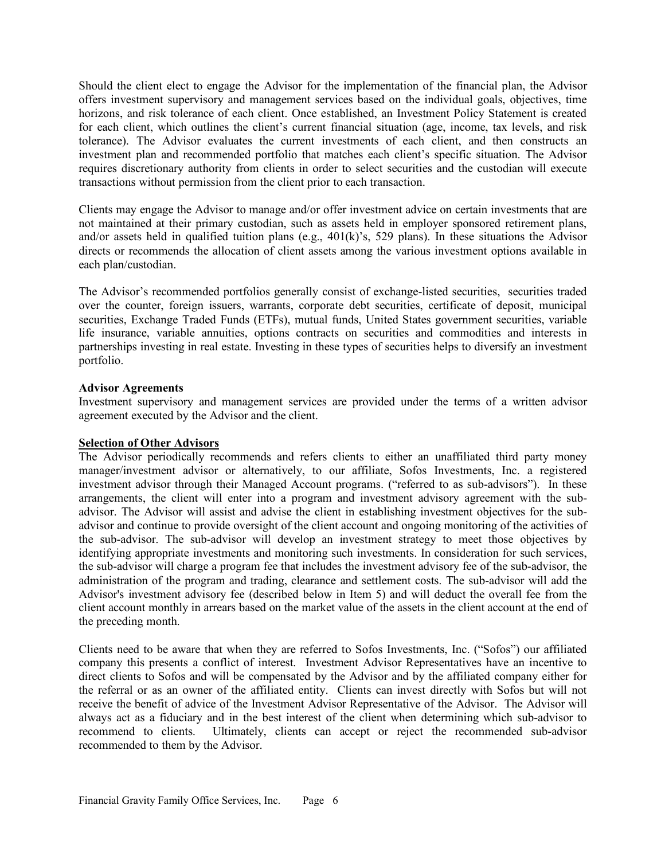Should the client elect to engage the Advisor for the implementation of the financial plan, the Advisor offers investment supervisory and management services based on the individual goals, objectives, time horizons, and risk tolerance of each client. Once established, an Investment Policy Statement is created for each client, which outlines the client's current financial situation (age, income, tax levels, and risk tolerance). The Advisor evaluates the current investments of each client, and then constructs an investment plan and recommended portfolio that matches each client's specific situation. The Advisor requires discretionary authority from clients in order to select securities and the custodian will execute transactions without permission from the client prior to each transaction.

Clients may engage the Advisor to manage and/or offer investment advice on certain investments that are not maintained at their primary custodian, such as assets held in employer sponsored retirement plans, and/or assets held in qualified tuition plans (e.g.,  $401(k)$ 's, 529 plans). In these situations the Advisor directs or recommends the allocation of client assets among the various investment options available in each plan/custodian.

The Advisor's recommended portfolios generally consist of exchange-listed securities, securities traded over the counter, foreign issuers, warrants, corporate debt securities, certificate of deposit, municipal securities, Exchange Traded Funds (ETFs), mutual funds, United States government securities, variable life insurance, variable annuities, options contracts on securities and commodities and interests in partnerships investing in real estate. Investing in these types of securities helps to diversify an investment portfolio.

## **Advisor Agreements**

Investment supervisory and management services are provided under the terms of a written advisor agreement executed by the Advisor and the client.

## **Selection of Other Advisors**

The Advisor periodically recommends and refers clients to either an unaffiliated third party money manager/investment advisor or alternatively, to our affiliate, Sofos Investments, Inc. a registered investment advisor through their Managed Account programs. ("referred to as sub-advisors"). In these arrangements, the client will enter into a program and investment advisory agreement with the subadvisor. The Advisor will assist and advise the client in establishing investment objectives for the subadvisor and continue to provide oversight of the client account and ongoing monitoring of the activities of the sub-advisor. The sub-advisor will develop an investment strategy to meet those objectives by identifying appropriate investments and monitoring such investments. In consideration for such services, the sub-advisor will charge a program fee that includes the investment advisory fee of the sub-advisor, the administration of the program and trading, clearance and settlement costs. The sub-advisor will add the Advisor's investment advisory fee (described below in Item 5) and will deduct the overall fee from the client account monthly in arrears based on the market value of the assets in the client account at the end of the preceding month.

Clients need to be aware that when they are referred to Sofos Investments, Inc. ("Sofos") our affiliated company this presents a conflict of interest. Investment Advisor Representatives have an incentive to direct clients to Sofos and will be compensated by the Advisor and by the affiliated company either for the referral or as an owner of the affiliated entity. Clients can invest directly with Sofos but will not receive the benefit of advice of the Investment Advisor Representative of the Advisor. The Advisor will always act as a fiduciary and in the best interest of the client when determining which sub-advisor to recommend to clients. Ultimately, clients can accept or reject the recommended sub-advisor recommended to them by the Advisor.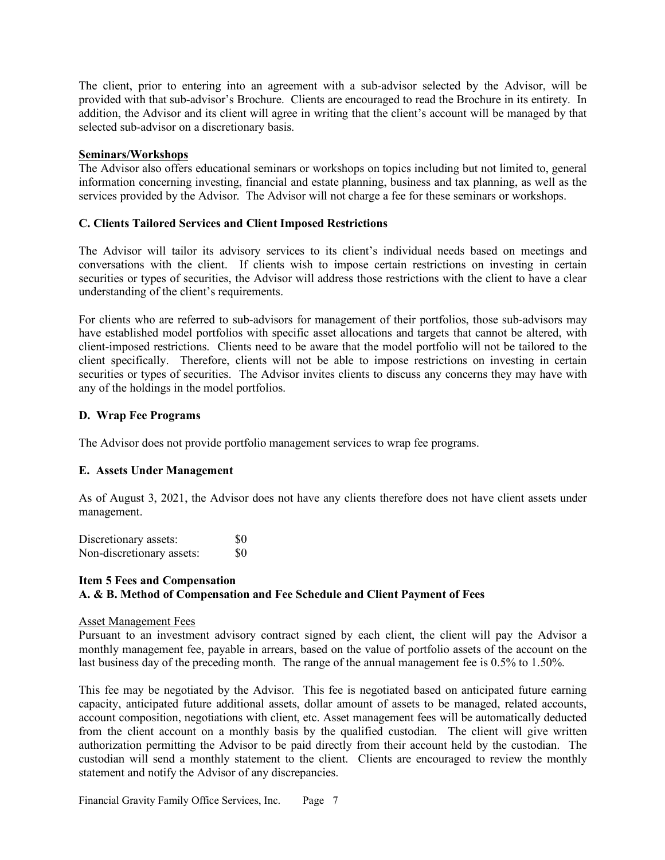The client, prior to entering into an agreement with a sub-advisor selected by the Advisor, will be provided with that sub-advisor's Brochure. Clients are encouraged to read the Brochure in its entirety. In addition, the Advisor and its client will agree in writing that the client's account will be managed by that selected sub-advisor on a discretionary basis.

## **Seminars/Workshops**

The Advisor also offers educational seminars or workshops on topics including but not limited to, general information concerning investing, financial and estate planning, business and tax planning, as well as the services provided by the Advisor. The Advisor will not charge a fee for these seminars or workshops.

# **C. Clients Tailored Services and Client Imposed Restrictions**

The Advisor will tailor its advisory services to its client's individual needs based on meetings and conversations with the client. If clients wish to impose certain restrictions on investing in certain securities or types of securities, the Advisor will address those restrictions with the client to have a clear understanding of the client's requirements.

For clients who are referred to sub-advisors for management of their portfolios, those sub-advisors may have established model portfolios with specific asset allocations and targets that cannot be altered, with client-imposed restrictions. Clients need to be aware that the model portfolio will not be tailored to the client specifically. Therefore, clients will not be able to impose restrictions on investing in certain securities or types of securities. The Advisor invites clients to discuss any concerns they may have with any of the holdings in the model portfolios.

# **D. Wrap Fee Programs**

The Advisor does not provide portfolio management services to wrap fee programs.

## **E. Assets Under Management**

As of August 3, 2021, the Advisor does not have any clients therefore does not have client assets under management.

Discretionary assets: \$0 Non-discretionary assets: \$0

# **Item 5 Fees and Compensation A. & B. Method of Compensation and Fee Schedule and Client Payment of Fees**

## Asset Management Fees

Pursuant to an investment advisory contract signed by each client, the client will pay the Advisor a monthly management fee, payable in arrears, based on the value of portfolio assets of the account on the last business day of the preceding month. The range of the annual management fee is 0.5% to 1.50%.

This fee may be negotiated by the Advisor. This fee is negotiated based on anticipated future earning capacity, anticipated future additional assets, dollar amount of assets to be managed, related accounts, account composition, negotiations with client, etc. Asset management fees will be automatically deducted from the client account on a monthly basis by the qualified custodian. The client will give written authorization permitting the Advisor to be paid directly from their account held by the custodian. The custodian will send a monthly statement to the client. Clients are encouraged to review the monthly statement and notify the Advisor of any discrepancies.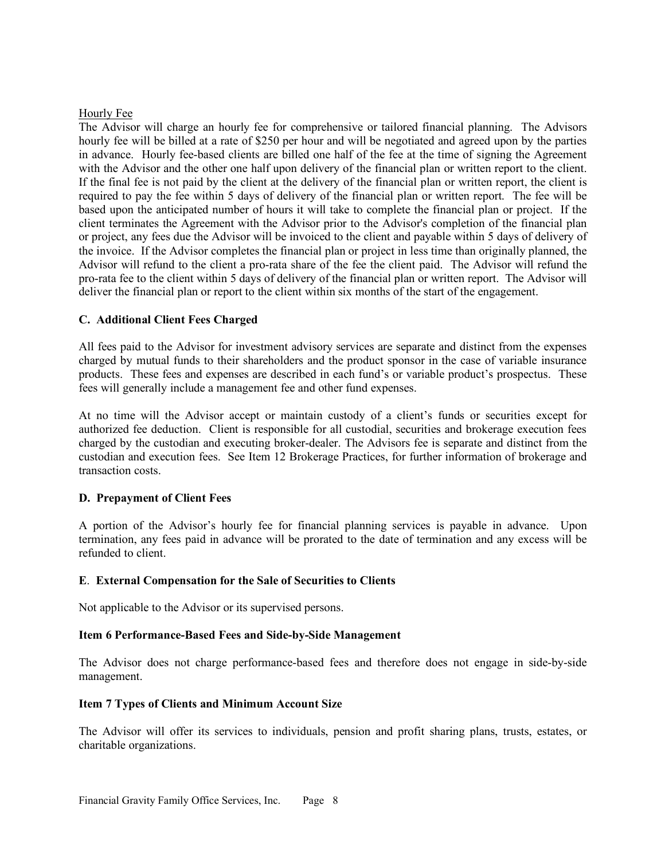## Hourly Fee

The Advisor will charge an hourly fee for comprehensive or tailored financial planning. The Advisors hourly fee will be billed at a rate of \$250 per hour and will be negotiated and agreed upon by the parties in advance. Hourly fee-based clients are billed one half of the fee at the time of signing the Agreement with the Advisor and the other one half upon delivery of the financial plan or written report to the client. If the final fee is not paid by the client at the delivery of the financial plan or written report, the client is required to pay the fee within 5 days of delivery of the financial plan or written report. The fee will be based upon the anticipated number of hours it will take to complete the financial plan or project. If the client terminates the Agreement with the Advisor prior to the Advisor's completion of the financial plan or project, any fees due the Advisor will be invoiced to the client and payable within 5 days of delivery of the invoice. If the Advisor completes the financial plan or project in less time than originally planned, the Advisor will refund to the client a pro-rata share of the fee the client paid. The Advisor will refund the pro-rata fee to the client within 5 days of delivery of the financial plan or written report. The Advisor will deliver the financial plan or report to the client within six months of the start of the engagement.

# **C. Additional Client Fees Charged**

All fees paid to the Advisor for investment advisory services are separate and distinct from the expenses charged by mutual funds to their shareholders and the product sponsor in the case of variable insurance products. These fees and expenses are described in each fund's or variable product's prospectus. These fees will generally include a management fee and other fund expenses.

At no time will the Advisor accept or maintain custody of a client's funds or securities except for authorized fee deduction. Client is responsible for all custodial, securities and brokerage execution fees charged by the custodian and executing broker-dealer. The Advisors fee is separate and distinct from the custodian and execution fees. See Item 12 Brokerage Practices, for further information of brokerage and transaction costs.

## **D. Prepayment of Client Fees**

A portion of the Advisor's hourly fee for financial planning services is payable in advance. Upon termination, any fees paid in advance will be prorated to the date of termination and any excess will be refunded to client.

## **E**. **External Compensation for the Sale of Securities to Clients**

Not applicable to the Advisor or its supervised persons.

## **Item 6 Performance-Based Fees and Side-by-Side Management**

The Advisor does not charge performance-based fees and therefore does not engage in side-by-side management.

## **Item 7 Types of Clients and Minimum Account Size**

The Advisor will offer its services to individuals, pension and profit sharing plans, trusts, estates, or charitable organizations.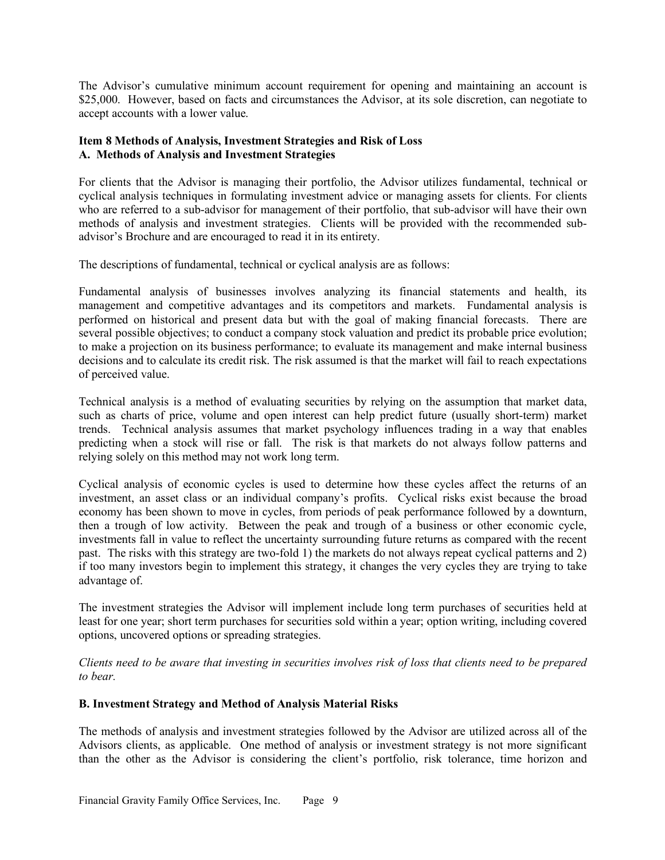The Advisor's cumulative minimum account requirement for opening and maintaining an account is \$25,000. However, based on facts and circumstances the Advisor, at its sole discretion, can negotiate to accept accounts with a lower value.

# **Item 8 Methods of Analysis, Investment Strategies and Risk of Loss A. Methods of Analysis and Investment Strategies**

For clients that the Advisor is managing their portfolio, the Advisor utilizes fundamental, technical or cyclical analysis techniques in formulating investment advice or managing assets for clients. For clients who are referred to a sub-advisor for management of their portfolio, that sub-advisor will have their own methods of analysis and investment strategies. Clients will be provided with the recommended subadvisor's Brochure and are encouraged to read it in its entirety.

The descriptions of fundamental, technical or cyclical analysis are as follows:

Fundamental analysis of businesses involves analyzing its financial statements and health, its management and competitive advantages and its competitors and markets. Fundamental analysis is performed on historical and present data but with the goal of making financial forecasts. There are several possible objectives; to conduct a company stock valuation and predict its probable price evolution; to make a projection on its business performance; to evaluate its management and make internal business decisions and to calculate its credit risk. The risk assumed is that the market will fail to reach expectations of perceived value.

Technical analysis is a method of evaluating securities by relying on the assumption that market data, such as charts of price, volume and open interest can help predict future (usually short-term) market trends. Technical analysis assumes that market psychology influences trading in a way that enables predicting when a stock will rise or fall. The risk is that markets do not always follow patterns and relying solely on this method may not work long term.

Cyclical analysis of economic cycles is used to determine how these cycles affect the returns of an investment, an asset class or an individual company's profits. Cyclical risks exist because the broad economy has been shown to move in cycles, from periods of peak performance followed by a downturn, then a trough of low activity. Between the peak and trough of a business or other economic cycle, investments fall in value to reflect the uncertainty surrounding future returns as compared with the recent past. The risks with this strategy are two-fold 1) the markets do not always repeat cyclical patterns and 2) if too many investors begin to implement this strategy, it changes the very cycles they are trying to take advantage of.

The investment strategies the Advisor will implement include long term purchases of securities held at least for one year; short term purchases for securities sold within a year; option writing, including covered options, uncovered options or spreading strategies.

*Clients need to be aware that investing in securities involves risk of loss that clients need to be prepared to bear.*

# **B. Investment Strategy and Method of Analysis Material Risks**

The methods of analysis and investment strategies followed by the Advisor are utilized across all of the Advisors clients, as applicable. One method of analysis or investment strategy is not more significant than the other as the Advisor is considering the client's portfolio, risk tolerance, time horizon and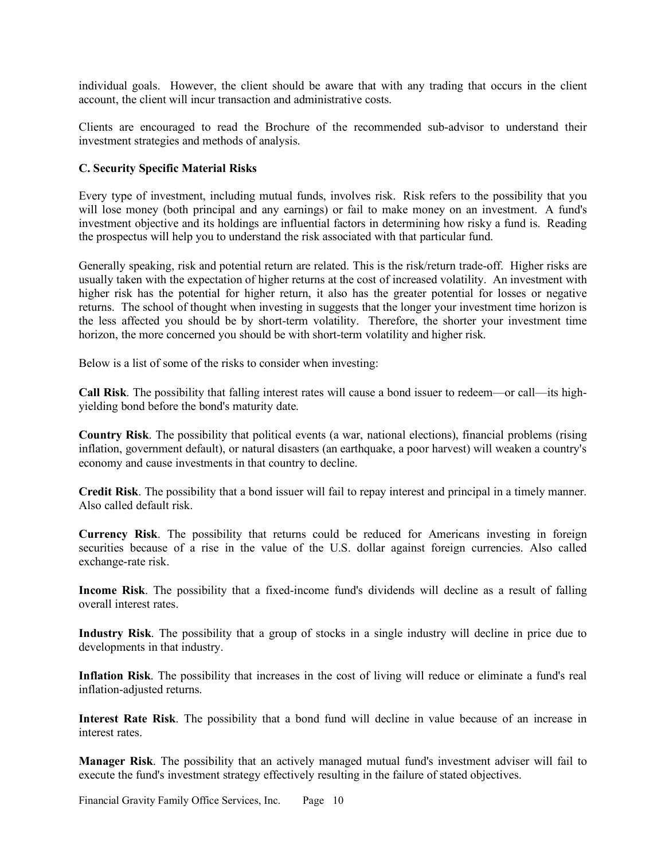individual goals. However, the client should be aware that with any trading that occurs in the client account, the client will incur transaction and administrative costs.

Clients are encouraged to read the Brochure of the recommended sub-advisor to understand their investment strategies and methods of analysis.

## **C. Security Specific Material Risks**

Every type of investment, including mutual funds, involves risk. Risk refers to the possibility that you will lose money (both principal and any earnings) or fail to make money on an investment. A fund's investment objective and its holdings are influential factors in determining how risky a fund is. Reading the prospectus will help you to understand the risk associated with that particular fund.

Generally speaking, risk and potential return are related. This is the risk/return trade-off. Higher risks are usually taken with the expectation of higher returns at the cost of increased volatility. An investment with higher risk has the potential for higher return, it also has the greater potential for losses or negative returns. The school of thought when investing in suggests that the longer your investment time horizon is the less affected you should be by short-term volatility. Therefore, the shorter your investment time horizon, the more concerned you should be with short-term volatility and higher risk.

Below is a list of some of the risks to consider when investing:

**Call Risk**. The possibility that falling interest rates will cause a bond issuer to redeem—or call—its highyielding bond before the bond's maturity date.

**Country Risk**. The possibility that political events (a war, national elections), financial problems (rising inflation, government default), or natural disasters (an earthquake, a poor harvest) will weaken a country's economy and cause investments in that country to decline.

**Credit Risk**. The possibility that a bond issuer will fail to repay interest and principal in a timely manner. Also called default risk.

**Currency Risk**. The possibility that returns could be reduced for Americans investing in foreign securities because of a rise in the value of the U.S. dollar against foreign currencies. Also called exchange-rate risk.

**Income Risk**. The possibility that a fixed-income fund's dividends will decline as a result of falling overall interest rates.

**Industry Risk**. The possibility that a group of stocks in a single industry will decline in price due to developments in that industry.

**Inflation Risk**. The possibility that increases in the cost of living will reduce or eliminate a fund's real inflation-adjusted returns.

**Interest Rate Risk**. The possibility that a bond fund will decline in value because of an increase in interest rates.

**Manager Risk**. The possibility that an actively managed mutual fund's investment adviser will fail to execute the fund's investment strategy effectively resulting in the failure of stated objectives.

Financial Gravity Family Office Services, Inc. Page 10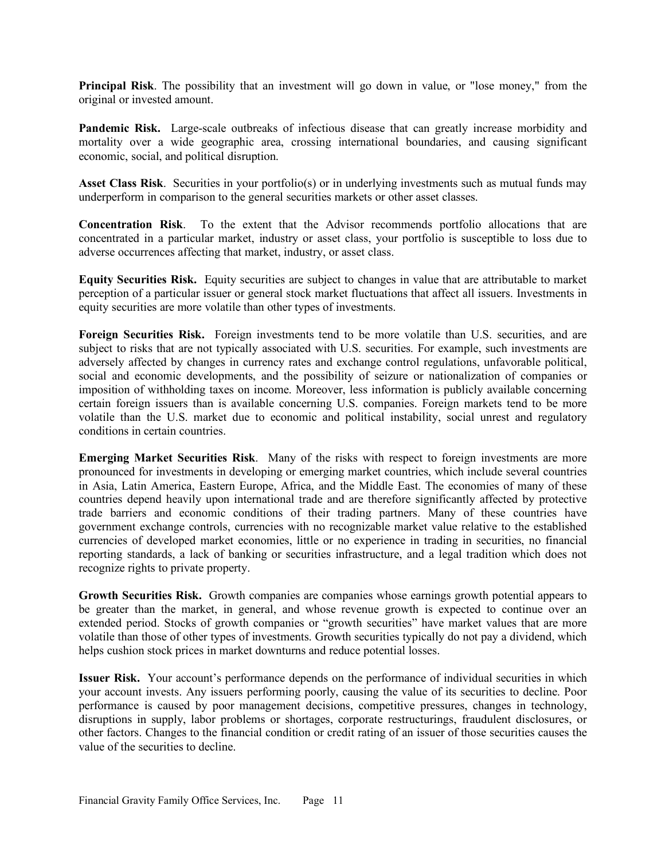**Principal Risk**. The possibility that an investment will go down in value, or "lose money," from the original or invested amount.

**Pandemic Risk.** Large-scale outbreaks of infectious disease that can greatly increase morbidity and mortality over a wide geographic area, crossing international boundaries, and causing significant economic, social, and political disruption.

**Asset Class Risk**. Securities in your portfolio(s) or in underlying investments such as mutual funds may underperform in comparison to the general securities markets or other asset classes.

**Concentration Risk**. To the extent that the Advisor recommends portfolio allocations that are concentrated in a particular market, industry or asset class, your portfolio is susceptible to loss due to adverse occurrences affecting that market, industry, or asset class.

**Equity Securities Risk.** Equity securities are subject to changes in value that are attributable to market perception of a particular issuer or general stock market fluctuations that affect all issuers. Investments in equity securities are more volatile than other types of investments.

**Foreign Securities Risk.** Foreign investments tend to be more volatile than U.S. securities, and are subject to risks that are not typically associated with U.S. securities. For example, such investments are adversely affected by changes in currency rates and exchange control regulations, unfavorable political, social and economic developments, and the possibility of seizure or nationalization of companies or imposition of withholding taxes on income. Moreover, less information is publicly available concerning certain foreign issuers than is available concerning U.S. companies. Foreign markets tend to be more volatile than the U.S. market due to economic and political instability, social unrest and regulatory conditions in certain countries.

**Emerging Market Securities Risk.** Many of the risks with respect to foreign investments are more pronounced for investments in developing or emerging market countries, which include several countries in Asia, Latin America, Eastern Europe, Africa, and the Middle East. The economies of many of these countries depend heavily upon international trade and are therefore significantly affected by protective trade barriers and economic conditions of their trading partners. Many of these countries have government exchange controls, currencies with no recognizable market value relative to the established currencies of developed market economies, little or no experience in trading in securities, no financial reporting standards, a lack of banking or securities infrastructure, and a legal tradition which does not recognize rights to private property.

**Growth Securities Risk.** Growth companies are companies whose earnings growth potential appears to be greater than the market, in general, and whose revenue growth is expected to continue over an extended period. Stocks of growth companies or "growth securities" have market values that are more volatile than those of other types of investments. Growth securities typically do not pay a dividend, which helps cushion stock prices in market downturns and reduce potential losses.

**Issuer Risk.** Your account's performance depends on the performance of individual securities in which your account invests. Any issuers performing poorly, causing the value of its securities to decline. Poor performance is caused by poor management decisions, competitive pressures, changes in technology, disruptions in supply, labor problems or shortages, corporate restructurings, fraudulent disclosures, or other factors. Changes to the financial condition or credit rating of an issuer of those securities causes the value of the securities to decline.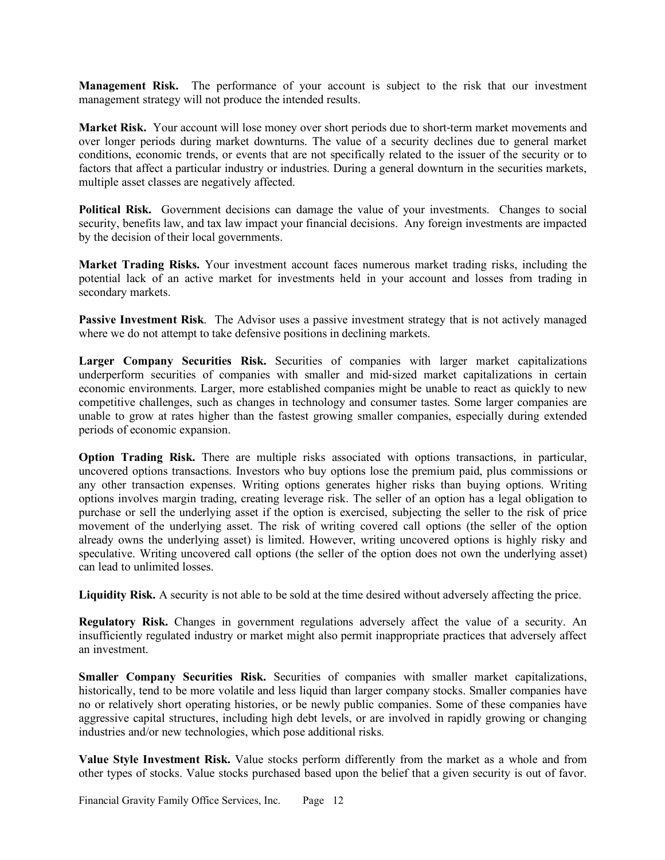**Management Risk.** The performance of your account is subject to the risk that our investment management strategy will not produce the intended results.

**Market Risk.** Your account will lose money over short periods due to short-term market movements and over longer periods during market downturns. The value of a security declines due to general market conditions, economic trends, or events that are not specifically related to the issuer of the security or to factors that affect a particular industry or industries. During a general downturn in the securities markets, multiple asset classes are negatively affected.

**Political Risk.** Government decisions can damage the value of your investments. Changes to social security, benefits law, and tax law impact your financial decisions. Any foreign investments are impacted by the decision of their local governments.

**Market Trading Risks.** Your investment account faces numerous market trading risks, including the potential lack of an active market for investments held in your account and losses from trading in secondary markets.

**Passive Investment Risk**. The Advisor uses a passive investment strategy that is not actively managed where we do not attempt to take defensive positions in declining markets.

Larger Company Securities Risk. Securities of companies with larger market capitalizations underperform securities of companies with smaller and mid-sized market capitalizations in certain economic environments. Larger, more established companies might be unable to react as quickly to new competitive challenges, such as changes in technology and consumer tastes. Some larger companies are unable to grow at rates higher than the fastest growing smaller companies, especially during extended periods of economic expansion.

**Option Trading Risk.** There are multiple risks associated with options transactions, in particular, uncovered options transactions. Investors who buy options lose the premium paid, plus commissions or any other transaction expenses. Writing options generates higher risks than buying options. Writing options involves margin trading, creating leverage risk. The seller of an option has a legal obligation to purchase or sell the underlying asset if the option is exercised, subjecting the seller to the risk of price movement of the underlying asset. The risk of writing covered call options (the seller of the option already owns the underlying asset) is limited. However, writing uncovered options is highly risky and speculative. Writing uncovered call options (the seller of the option does not own the underlying asset) can lead to unlimited losses.

**Liquidity Risk.** A security is not able to be sold at the time desired without adversely affecting the price.

**Regulatory Risk.** Changes in government regulations adversely affect the value of a security. An insufficiently regulated industry or market might also permit inappropriate practices that adversely affect an investment.

**Smaller Company Securities Risk.** Securities of companies with smaller market capitalizations, historically, tend to be more volatile and less liquid than larger company stocks. Smaller companies have no or relatively short operating histories, or be newly public companies. Some of these companies have aggressive capital structures, including high debt levels, or are involved in rapidly growing or changing industries and/or new technologies, which pose additional risks.

**Value Style Investment Risk.** Value stocks perform differently from the market as a whole and from other types of stocks. Value stocks purchased based upon the belief that a given security is out of favor.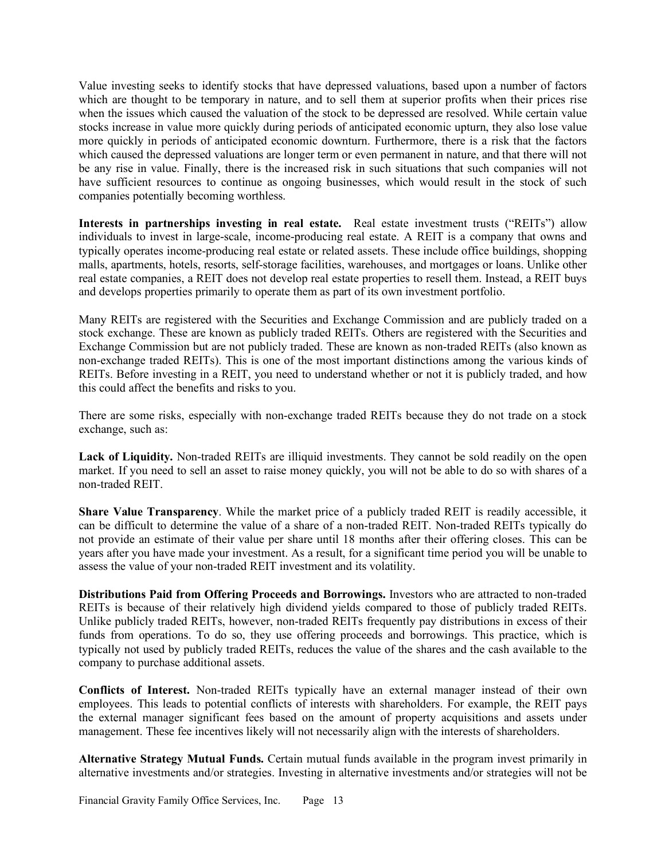Value investing seeks to identify stocks that have depressed valuations, based upon a number of factors which are thought to be temporary in nature, and to sell them at superior profits when their prices rise when the issues which caused the valuation of the stock to be depressed are resolved. While certain value stocks increase in value more quickly during periods of anticipated economic upturn, they also lose value more quickly in periods of anticipated economic downturn. Furthermore, there is a risk that the factors which caused the depressed valuations are longer term or even permanent in nature, and that there will not be any rise in value. Finally, there is the increased risk in such situations that such companies will not have sufficient resources to continue as ongoing businesses, which would result in the stock of such companies potentially becoming worthless.

**Interests in partnerships investing in real estate.** Real estate investment trusts ("REITs") allow individuals to invest in large-scale, income-producing real estate. A REIT is a company that owns and typically operates income-producing real estate or related assets. These include office buildings, shopping malls, apartments, hotels, resorts, self-storage facilities, warehouses, and mortgages or loans. Unlike other real estate companies, a REIT does not develop real estate properties to resell them. Instead, a REIT buys and develops properties primarily to operate them as part of its own investment portfolio.

Many REITs are registered with the Securities and Exchange Commission and are publicly traded on a stock exchange. These are known as publicly traded REITs. Others are registered with the Securities and Exchange Commission but are not publicly traded. These are known as non-traded REITs (also known as non-exchange traded REITs). This is one of the most important distinctions among the various kinds of REITs. Before investing in a REIT, you need to understand whether or not it is publicly traded, and how this could affect the benefits and risks to you.

There are some risks, especially with non-exchange traded REITs because they do not trade on a stock exchange, such as:

**Lack of Liquidity.** Non-traded REITs are illiquid investments. They cannot be sold readily on the open market. If you need to sell an asset to raise money quickly, you will not be able to do so with shares of a non-traded REIT.

**Share Value Transparency**. While the market price of a publicly traded REIT is readily accessible, it can be difficult to determine the value of a share of a non-traded REIT. Non-traded REITs typically do not provide an estimate of their value per share until 18 months after their offering closes. This can be years after you have made your investment. As a result, for a significant time period you will be unable to assess the value of your non-traded REIT investment and its volatility.

**Distributions Paid from Offering Proceeds and Borrowings.** Investors who are attracted to non-traded REITs is because of their relatively high dividend yields compared to those of publicly traded REITs. Unlike publicly traded REITs, however, non-traded REITs frequently pay distributions in excess of their funds from operations. To do so, they use offering proceeds and borrowings. This practice, which is typically not used by publicly traded REITs, reduces the value of the shares and the cash available to the company to purchase additional assets.

**Conflicts of Interest.** Non-traded REITs typically have an external manager instead of their own employees. This leads to potential conflicts of interests with shareholders. For example, the REIT pays the external manager significant fees based on the amount of property acquisitions and assets under management. These fee incentives likely will not necessarily align with the interests of shareholders.

**Alternative Strategy Mutual Funds.** Certain mutual funds available in the program invest primarily in alternative investments and/or strategies. Investing in alternative investments and/or strategies will not be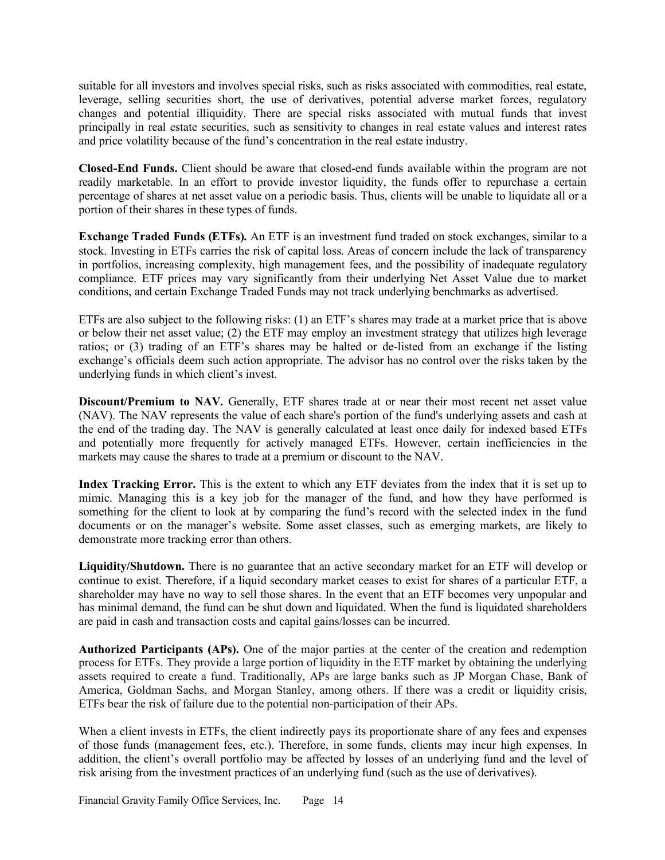suitable for all investors and involves special risks, such as risks associated with commodities, real estate, leverage, selling securities short, the use of derivatives, potential adverse market forces, regulatory changes and potential illiquidity. There are special risks associated with mutual funds that invest principally in real estate securities, such as sensitivity to changes in real estate values and interest rates and price volatility because of the fund's concentration in the real estate industry.

**Closed-End Funds.** Client should be aware that closed-end funds available within the program are not readily marketable. In an effort to provide investor liquidity, the funds offer to repurchase a certain percentage of shares at net asset value on a periodic basis. Thus, clients will be unable to liquidate all or a portion of their shares in these types of funds.

**Exchange Traded Funds (ETFs).** An ETF is an investment fund traded on stock exchanges, similar to a stock. Investing in ETFs carries the risk of capital loss. Areas of concern include the lack of transparency in portfolios, increasing complexity, high management fees, and the possibility of inadequate regulatory compliance. ETF prices may vary significantly from their underlying Net Asset Value due to market conditions, and certain Exchange Traded Funds may not track underlying benchmarks as advertised.

ETFs are also subject to the following risks: (1) an ETF's shares may trade at a market price that is above or below their net asset value; (2) the ETF may employ an investment strategy that utilizes high leverage ratios; or (3) trading of an ETF's shares may be halted or de-listed from an exchange if the listing exchange's officials deem such action appropriate. The advisor has no control over the risks taken by the underlying funds in which client's invest.

**Discount/Premium to NAV.** Generally, ETF shares trade at or near their most recent net asset value (NAV). The NAV represents the value of each share's portion of the fund's underlying assets and cash at the end of the trading day. The NAV is generally calculated at least once daily for indexed based ETFs and potentially more frequently for actively managed ETFs. However, certain inefficiencies in the markets may cause the shares to trade at a premium or discount to the NAV.

**Index Tracking Error.** This is the extent to which any ETF deviates from the index that it is set up to mimic. Managing this is a key job for the manager of the fund, and how they have performed is something for the client to look at by comparing the fund's record with the selected index in the fund documents or on the manager's website. Some asset classes, such as emerging markets, are likely to demonstrate more tracking error than others.

**Liquidity/Shutdown.** There is no guarantee that an active secondary market for an ETF will develop or continue to exist. Therefore, if a liquid secondary market ceases to exist for shares of a particular ETF, a shareholder may have no way to sell those shares. In the event that an ETF becomes very unpopular and has minimal demand, the fund can be shut down and liquidated. When the fund is liquidated shareholders are paid in cash and transaction costs and capital gains/losses can be incurred.

**Authorized Participants (APs).** One of the major parties at the center of the creation and redemption process for ETFs. They provide a large portion of liquidity in the ETF market by obtaining the underlying assets required to create a fund. Traditionally, APs are large banks such as JP Morgan Chase, Bank of America, Goldman Sachs, and Morgan Stanley, among others. If there was a credit or liquidity crisis, ETFs bear the risk of failure due to the potential non-participation of their APs.

When a client invests in ETFs, the client indirectly pays its proportionate share of any fees and expenses of those funds (management fees, etc.). Therefore, in some funds, clients may incur high expenses. In addition, the client's overall portfolio may be affected by losses of an underlying fund and the level of risk arising from the investment practices of an underlying fund (such as the use of derivatives).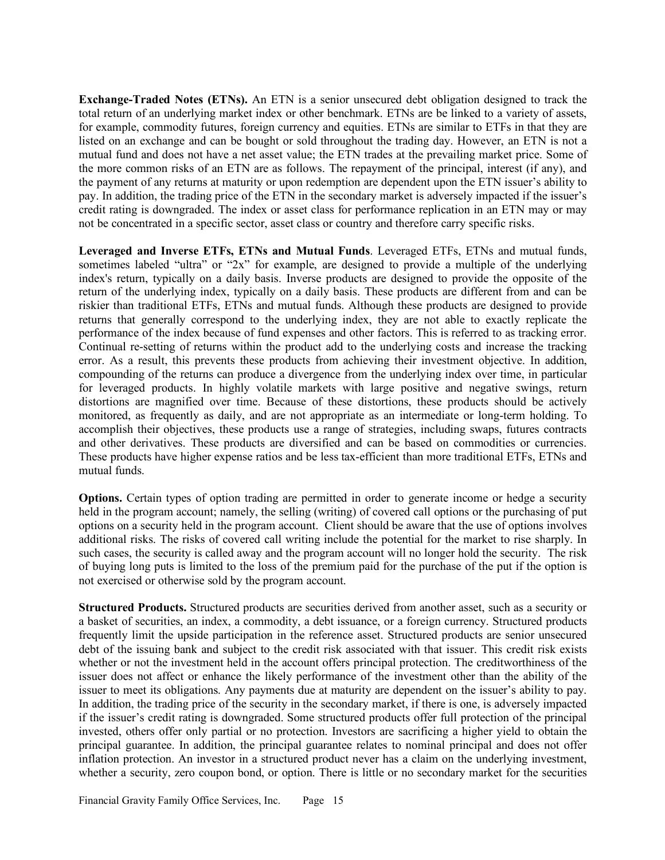**Exchange-Traded Notes (ETNs).** An ETN is a senior unsecured debt obligation designed to track the total return of an underlying market index or other benchmark. ETNs are be linked to a variety of assets, for example, commodity futures, foreign currency and equities. ETNs are similar to ETFs in that they are listed on an exchange and can be bought or sold throughout the trading day. However, an ETN is not a mutual fund and does not have a net asset value; the ETN trades at the prevailing market price. Some of the more common risks of an ETN are as follows. The repayment of the principal, interest (if any), and the payment of any returns at maturity or upon redemption are dependent upon the ETN issuer's ability to pay. In addition, the trading price of the ETN in the secondary market is adversely impacted if the issuer's credit rating is downgraded. The index or asset class for performance replication in an ETN may or may not be concentrated in a specific sector, asset class or country and therefore carry specific risks.

**Leveraged and Inverse ETFs, ETNs and Mutual Funds**. Leveraged ETFs, ETNs and mutual funds, sometimes labeled "ultra" or "2x" for example, are designed to provide a multiple of the underlying index's return, typically on a daily basis. Inverse products are designed to provide the opposite of the return of the underlying index, typically on a daily basis. These products are different from and can be riskier than traditional ETFs, ETNs and mutual funds. Although these products are designed to provide returns that generally correspond to the underlying index, they are not able to exactly replicate the performance of the index because of fund expenses and other factors. This is referred to as tracking error. Continual re-setting of returns within the product add to the underlying costs and increase the tracking error. As a result, this prevents these products from achieving their investment objective. In addition, compounding of the returns can produce a divergence from the underlying index over time, in particular for leveraged products. In highly volatile markets with large positive and negative swings, return distortions are magnified over time. Because of these distortions, these products should be actively monitored, as frequently as daily, and are not appropriate as an intermediate or long-term holding. To accomplish their objectives, these products use a range of strategies, including swaps, futures contracts and other derivatives. These products are diversified and can be based on commodities or currencies. These products have higher expense ratios and be less tax-efficient than more traditional ETFs, ETNs and mutual funds.

**Options.** Certain types of option trading are permitted in order to generate income or hedge a security held in the program account; namely, the selling (writing) of covered call options or the purchasing of put options on a security held in the program account. Client should be aware that the use of options involves additional risks. The risks of covered call writing include the potential for the market to rise sharply. In such cases, the security is called away and the program account will no longer hold the security. The risk of buying long puts is limited to the loss of the premium paid for the purchase of the put if the option is not exercised or otherwise sold by the program account.

**Structured Products.** Structured products are securities derived from another asset, such as a security or a basket of securities, an index, a commodity, a debt issuance, or a foreign currency. Structured products frequently limit the upside participation in the reference asset. Structured products are senior unsecured debt of the issuing bank and subject to the credit risk associated with that issuer. This credit risk exists whether or not the investment held in the account offers principal protection. The creditworthiness of the issuer does not affect or enhance the likely performance of the investment other than the ability of the issuer to meet its obligations. Any payments due at maturity are dependent on the issuer's ability to pay. In addition, the trading price of the security in the secondary market, if there is one, is adversely impacted if the issuer's credit rating is downgraded. Some structured products offer full protection of the principal invested, others offer only partial or no protection. Investors are sacrificing a higher yield to obtain the principal guarantee. In addition, the principal guarantee relates to nominal principal and does not offer inflation protection. An investor in a structured product never has a claim on the underlying investment, whether a security, zero coupon bond, or option. There is little or no secondary market for the securities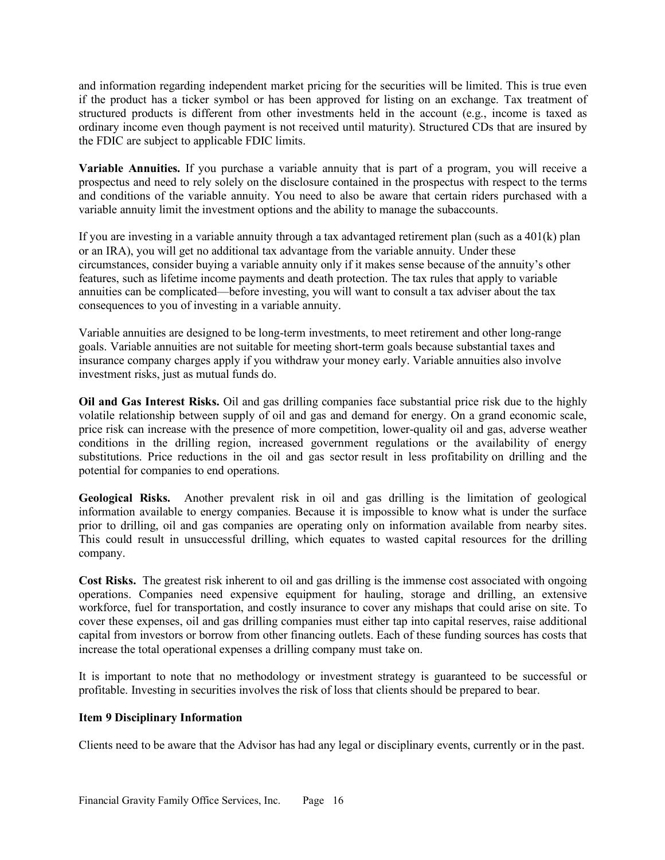and information regarding independent market pricing for the securities will be limited. This is true even if the product has a ticker symbol or has been approved for listing on an exchange. Tax treatment of structured products is different from other investments held in the account (e.g., income is taxed as ordinary income even though payment is not received until maturity). Structured CDs that are insured by the FDIC are subject to applicable FDIC limits.

**Variable Annuities.** If you purchase a variable annuity that is part of a program, you will receive a prospectus and need to rely solely on the disclosure contained in the prospectus with respect to the terms and conditions of the variable annuity. You need to also be aware that certain riders purchased with a variable annuity limit the investment options and the ability to manage the subaccounts.

If you are investing in a variable annuity through a tax advantaged retirement plan (such as a  $401(k)$  plan or an IRA), you will get no additional tax advantage from the variable annuity. Under these circumstances, consider buying a variable annuity only if it makes sense because of the annuity's other features, such as lifetime income payments and death protection. The tax rules that apply to variable annuities can be complicated—before investing, you will want to consult a tax adviser about the tax consequences to you of investing in a variable annuity.

Variable annuities are designed to be long-term investments, to meet retirement and other long-range goals. Variable annuities are not suitable for meeting short-term goals because substantial taxes and insurance company charges apply if you withdraw your money early. Variable annuities also involve investment risks, just as mutual funds do.

**Oil and Gas Interest Risks.** Oil and gas drilling companies face substantial price risk due to the highly volatile relationship between supply of oil and gas and demand for energy. On a grand economic scale, price risk can increase with the presence of more competition, lower-quality oil and gas, adverse weather conditions in the drilling region, increased government regulations or the availability of energy substitutions. Price reductions in the oil and gas sector result in less profitability on drilling and the potential for companies to end operations.

**Geological Risks.** Another prevalent risk in oil and gas drilling is the limitation of geological information available to energy companies. Because it is impossible to know what is under the surface prior to drilling, oil and gas companies are operating only on information available from nearby sites. This could result in unsuccessful drilling, which equates to wasted capital resources for the drilling company.

**Cost Risks.** The greatest risk inherent to oil and gas drilling is the immense cost associated with ongoing operations. Companies need expensive equipment for hauling, storage and drilling, an extensive workforce, fuel for transportation, and costly insurance to cover any mishaps that could arise on site. To cover these expenses, oil and gas drilling companies must either tap into capital reserves, raise additional capital from investors or borrow from other financing outlets. Each of these funding sources has costs that increase the total operational expenses a drilling company must take on.

It is important to note that no methodology or investment strategy is guaranteed to be successful or profitable. Investing in securities involves the risk of loss that clients should be prepared to bear.

## **Item 9 Disciplinary Information**

Clients need to be aware that the Advisor has had any legal or disciplinary events, currently or in the past.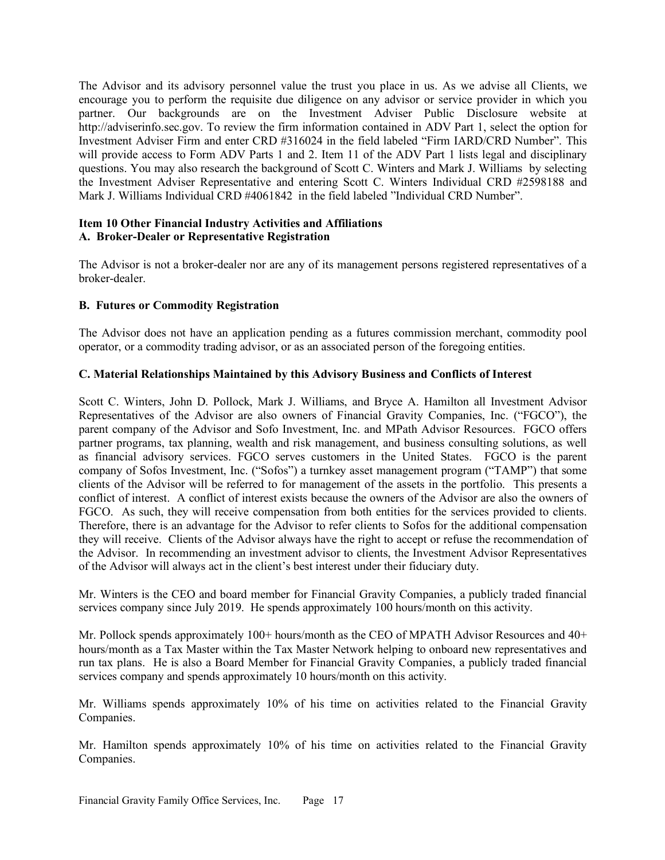The Advisor and its advisory personnel value the trust you place in us. As we advise all Clients, we encourage you to perform the requisite due diligence on any advisor or service provider in which you partner. Our backgrounds are on the Investment Adviser Public Disclosure website at http://adviserinfo.sec.gov. To review the firm information contained in ADV Part 1, select the option for Investment Adviser Firm and enter CRD #316024 in the field labeled "Firm IARD/CRD Number". This will provide access to Form ADV Parts 1 and 2. Item 11 of the ADV Part 1 lists legal and disciplinary questions. You may also research the background of Scott C. Winters and Mark J. Williams by selecting the Investment Adviser Representative and entering Scott C. Winters Individual CRD #2598188 and Mark J. Williams Individual CRD #4061842 in the field labeled "Individual CRD Number".

# **Item 10 Other Financial Industry Activities and Affiliations A. Broker-Dealer or Representative Registration**

The Advisor is not a broker-dealer nor are any of its management persons registered representatives of a broker-dealer.

# **B. Futures or Commodity Registration**

The Advisor does not have an application pending as a futures commission merchant, commodity pool operator, or a commodity trading advisor, or as an associated person of the foregoing entities.

# **C. Material Relationships Maintained by this Advisory Business and Conflicts of Interest**

Scott C. Winters, John D. Pollock, Mark J. Williams, and Bryce A. Hamilton all Investment Advisor Representatives of the Advisor are also owners of Financial Gravity Companies, Inc. ("FGCO"), the parent company of the Advisor and Sofo Investment, Inc. and MPath Advisor Resources. FGCO offers partner programs, tax planning, wealth and risk management, and business consulting solutions, as well as financial advisory services. FGCO serves customers in the United States. FGCO is the parent company of Sofos Investment, Inc. ("Sofos") a turnkey asset management program ("TAMP") that some clients of the Advisor will be referred to for management of the assets in the portfolio. This presents a conflict of interest. A conflict of interest exists because the owners of the Advisor are also the owners of FGCO. As such, they will receive compensation from both entities for the services provided to clients. Therefore, there is an advantage for the Advisor to refer clients to Sofos for the additional compensation they will receive. Clients of the Advisor always have the right to accept or refuse the recommendation of the Advisor. In recommending an investment advisor to clients, the Investment Advisor Representatives of the Advisor will always act in the client's best interest under their fiduciary duty.

Mr. Winters is the CEO and board member for Financial Gravity Companies, a publicly traded financial services company since July 2019. He spends approximately 100 hours/month on this activity.

Mr. Pollock spends approximately 100+ hours/month as the CEO of MPATH Advisor Resources and 40+ hours/month as a Tax Master within the Tax Master Network helping to onboard new representatives and run tax plans. He is also a Board Member for Financial Gravity Companies, a publicly traded financial services company and spends approximately 10 hours/month on this activity.

Mr. Williams spends approximately 10% of his time on activities related to the Financial Gravity Companies.

Mr. Hamilton spends approximately 10% of his time on activities related to the Financial Gravity Companies.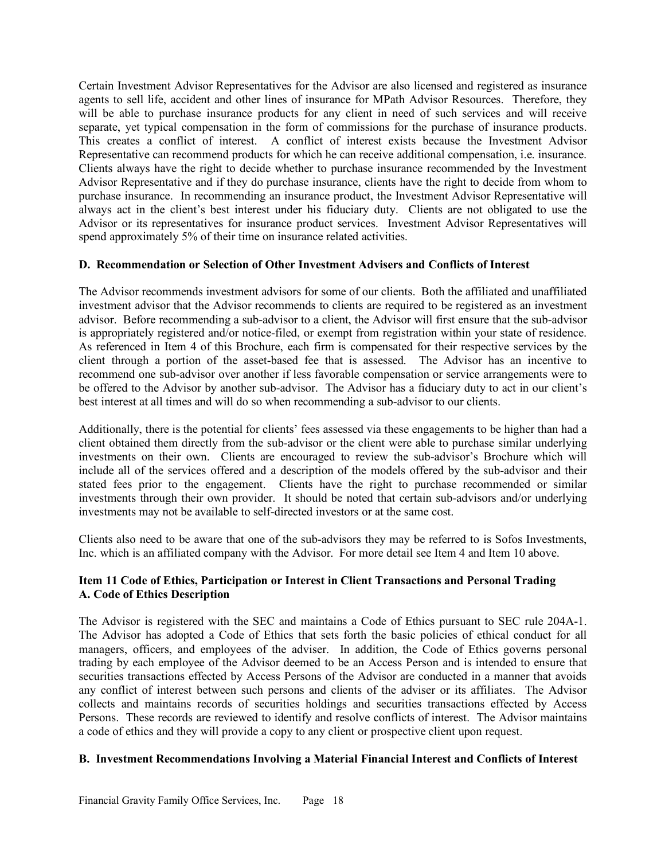Certain Investment Advisor Representatives for the Advisor are also licensed and registered as insurance agents to sell life, accident and other lines of insurance for MPath Advisor Resources. Therefore, they will be able to purchase insurance products for any client in need of such services and will receive separate, yet typical compensation in the form of commissions for the purchase of insurance products. This creates a conflict of interest. A conflict of interest exists because the Investment Advisor Representative can recommend products for which he can receive additional compensation, i.e. insurance. Clients always have the right to decide whether to purchase insurance recommended by the Investment Advisor Representative and if they do purchase insurance, clients have the right to decide from whom to purchase insurance. In recommending an insurance product, the Investment Advisor Representative will always act in the client's best interest under his fiduciary duty. Clients are not obligated to use the Advisor or its representatives for insurance product services. Investment Advisor Representatives will spend approximately 5% of their time on insurance related activities.

# **D. Recommendation or Selection of Other Investment Advisers and Conflicts of Interest**

The Advisor recommends investment advisors for some of our clients. Both the affiliated and unaffiliated investment advisor that the Advisor recommends to clients are required to be registered as an investment advisor. Before recommending a sub-advisor to a client, the Advisor will first ensure that the sub-advisor is appropriately registered and/or notice-filed, or exempt from registration within your state of residence. As referenced in Item 4 of this Brochure, each firm is compensated for their respective services by the client through a portion of the asset-based fee that is assessed. The Advisor has an incentive to recommend one sub-advisor over another if less favorable compensation or service arrangements were to be offered to the Advisor by another sub-advisor. The Advisor has a fiduciary duty to act in our client's best interest at all times and will do so when recommending a sub-advisor to our clients.

Additionally, there is the potential for clients' fees assessed via these engagements to be higher than had a client obtained them directly from the sub-advisor or the client were able to purchase similar underlying investments on their own. Clients are encouraged to review the sub-advisor's Brochure which will include all of the services offered and a description of the models offered by the sub-advisor and their stated fees prior to the engagement. Clients have the right to purchase recommended or similar investments through their own provider. It should be noted that certain sub-advisors and/or underlying investments may not be available to self-directed investors or at the same cost.

Clients also need to be aware that one of the sub-advisors they may be referred to is Sofos Investments, Inc. which is an affiliated company with the Advisor. For more detail see Item 4 and Item 10 above.

# **Item 11 Code of Ethics, Participation or Interest in Client Transactions and Personal Trading A. Code of Ethics Description**

The Advisor is registered with the SEC and maintains a Code of Ethics pursuant to SEC rule 204A-1. The Advisor has adopted a Code of Ethics that sets forth the basic policies of ethical conduct for all managers, officers, and employees of the adviser. In addition, the Code of Ethics governs personal trading by each employee of the Advisor deemed to be an Access Person and is intended to ensure that securities transactions effected by Access Persons of the Advisor are conducted in a manner that avoids any conflict of interest between such persons and clients of the adviser or its affiliates. The Advisor collects and maintains records of securities holdings and securities transactions effected by Access Persons. These records are reviewed to identify and resolve conflicts of interest. The Advisor maintains a code of ethics and they will provide a copy to any client or prospective client upon request.

# **B. Investment Recommendations Involving a Material Financial Interest and Conflicts of Interest**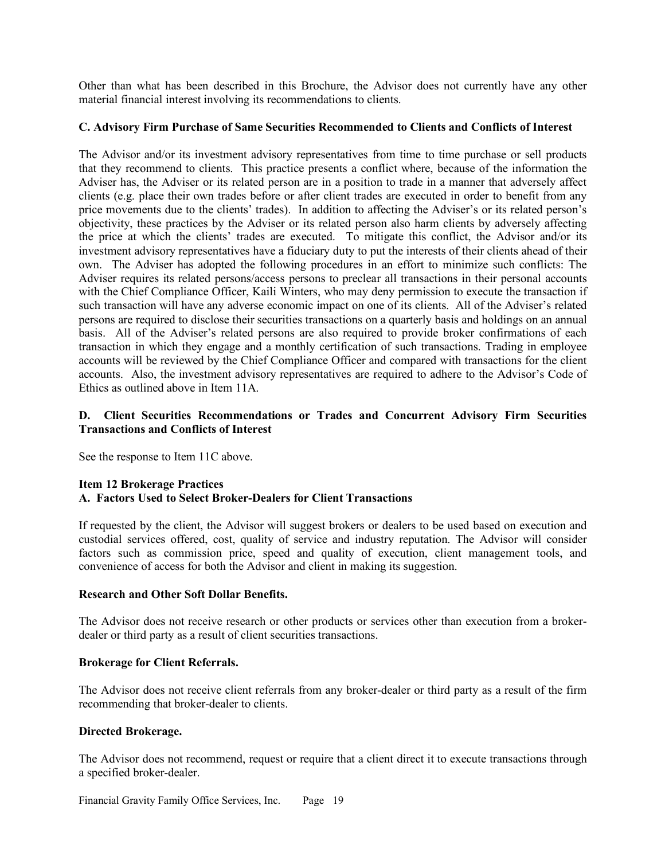Other than what has been described in this Brochure, the Advisor does not currently have any other material financial interest involving its recommendations to clients.

## **C. Advisory Firm Purchase of Same Securities Recommended to Clients and Conflicts of Interest**

The Advisor and/or its investment advisory representatives from time to time purchase or sell products that they recommend to clients. This practice presents a conflict where, because of the information the Adviser has, the Adviser or its related person are in a position to trade in a manner that adversely affect clients (e.g. place their own trades before or after client trades are executed in order to benefit from any price movements due to the clients' trades). In addition to affecting the Adviser's or its related person's objectivity, these practices by the Adviser or its related person also harm clients by adversely affecting the price at which the clients' trades are executed. To mitigate this conflict, the Advisor and/or its investment advisory representatives have a fiduciary duty to put the interests of their clients ahead of their own. The Adviser has adopted the following procedures in an effort to minimize such conflicts: The Adviser requires its related persons/access persons to preclear all transactions in their personal accounts with the Chief Compliance Officer, Kaili Winters, who may deny permission to execute the transaction if such transaction will have any adverse economic impact on one of its clients. All of the Adviser's related persons are required to disclose their securities transactions on a quarterly basis and holdings on an annual basis. All of the Adviser's related persons are also required to provide broker confirmations of each transaction in which they engage and a monthly certification of such transactions. Trading in employee accounts will be reviewed by the Chief Compliance Officer and compared with transactions for the client accounts. Also, the investment advisory representatives are required to adhere to the Advisor's Code of Ethics as outlined above in Item 11A.

# **D. Client Securities Recommendations or Trades and Concurrent Advisory Firm Securities Transactions and Conflicts of Interest**

See the response to Item 11C above.

# **Item 12 Brokerage Practices A. Factors Used to Select Broker-Dealers for Client Transactions**

If requested by the client, the Advisor will suggest brokers or dealers to be used based on execution and custodial services offered, cost, quality of service and industry reputation. The Advisor will consider factors such as commission price, speed and quality of execution, client management tools, and convenience of access for both the Advisor and client in making its suggestion.

## **Research and Other Soft Dollar Benefits.**

The Advisor does not receive research or other products or services other than execution from a brokerdealer or third party as a result of client securities transactions.

# **Brokerage for Client Referrals.**

The Advisor does not receive client referrals from any broker-dealer or third party as a result of the firm recommending that broker-dealer to clients.

# **Directed Brokerage.**

The Advisor does not recommend, request or require that a client direct it to execute transactions through a specified broker-dealer.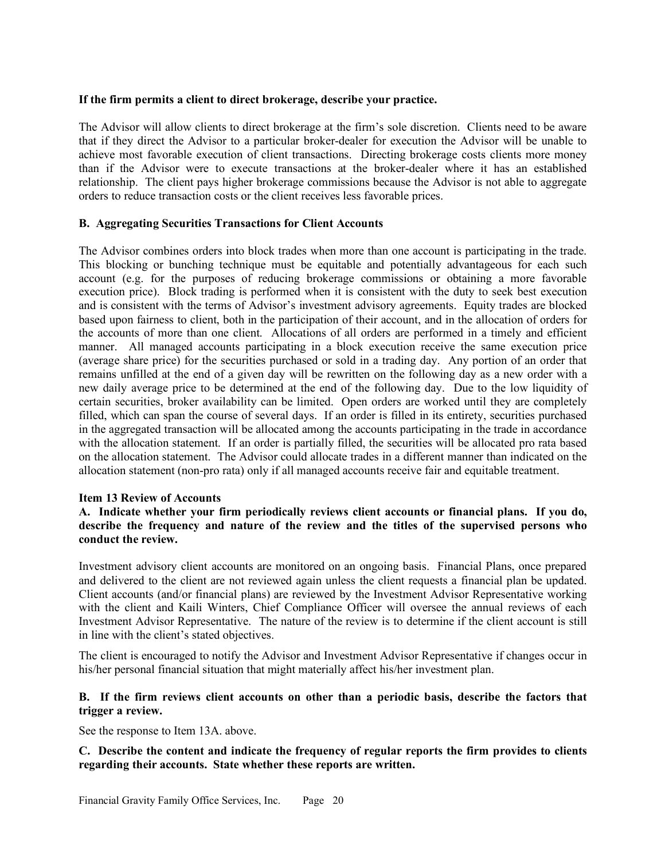## **If the firm permits a client to direct brokerage, describe your practice.**

The Advisor will allow clients to direct brokerage at the firm's sole discretion. Clients need to be aware that if they direct the Advisor to a particular broker-dealer for execution the Advisor will be unable to achieve most favorable execution of client transactions. Directing brokerage costs clients more money than if the Advisor were to execute transactions at the broker-dealer where it has an established relationship. The client pays higher brokerage commissions because the Advisor is not able to aggregate orders to reduce transaction costs or the client receives less favorable prices.

# **B. Aggregating Securities Transactions for Client Accounts**

The Advisor combines orders into block trades when more than one account is participating in the trade. This blocking or bunching technique must be equitable and potentially advantageous for each such account (e.g. for the purposes of reducing brokerage commissions or obtaining a more favorable execution price). Block trading is performed when it is consistent with the duty to seek best execution and is consistent with the terms of Advisor's investment advisory agreements. Equity trades are blocked based upon fairness to client, both in the participation of their account, and in the allocation of orders for the accounts of more than one client. Allocations of all orders are performed in a timely and efficient manner. All managed accounts participating in a block execution receive the same execution price (average share price) for the securities purchased or sold in a trading day. Any portion of an order that remains unfilled at the end of a given day will be rewritten on the following day as a new order with a new daily average price to be determined at the end of the following day. Due to the low liquidity of certain securities, broker availability can be limited. Open orders are worked until they are completely filled, which can span the course of several days. If an order is filled in its entirety, securities purchased in the aggregated transaction will be allocated among the accounts participating in the trade in accordance with the allocation statement. If an order is partially filled, the securities will be allocated pro rata based on the allocation statement. The Advisor could allocate trades in a different manner than indicated on the allocation statement (non-pro rata) only if all managed accounts receive fair and equitable treatment.

## **Item 13 Review of Accounts**

**A. Indicate whether your firm periodically reviews client accounts or financial plans. If you do, describe the frequency and nature of the review and the titles of the supervised persons who conduct the review.**

Investment advisory client accounts are monitored on an ongoing basis. Financial Plans, once prepared and delivered to the client are not reviewed again unless the client requests a financial plan be updated. Client accounts (and/or financial plans) are reviewed by the Investment Advisor Representative working with the client and Kaili Winters, Chief Compliance Officer will oversee the annual reviews of each Investment Advisor Representative. The nature of the review is to determine if the client account is still in line with the client's stated objectives.

The client is encouraged to notify the Advisor and Investment Advisor Representative if changes occur in his/her personal financial situation that might materially affect his/her investment plan.

# **B. If the firm reviews client accounts on other than a periodic basis, describe the factors that trigger a review.**

See the response to Item 13A. above.

# **C. Describe the content and indicate the frequency of regular reports the firm provides to clients regarding their accounts. State whether these reports are written.**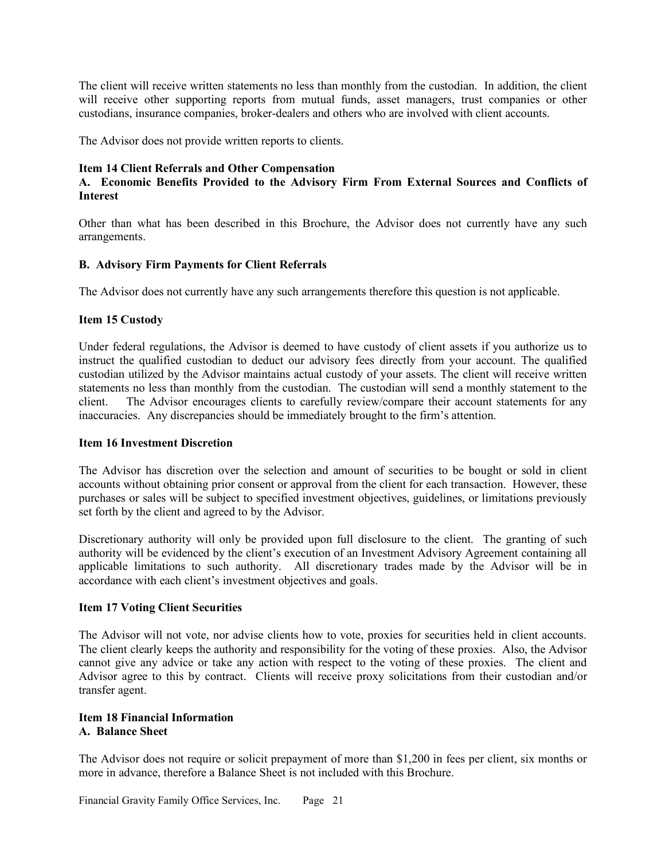The client will receive written statements no less than monthly from the custodian. In addition, the client will receive other supporting reports from mutual funds, asset managers, trust companies or other custodians, insurance companies, broker-dealers and others who are involved with client accounts.

The Advisor does not provide written reports to clients.

#### **Item 14 Client Referrals and Other Compensation**

# **A. Economic Benefits Provided to the Advisory Firm From External Sources and Conflicts of Interest**

Other than what has been described in this Brochure, the Advisor does not currently have any such arrangements.

## **B. Advisory Firm Payments for Client Referrals**

The Advisor does not currently have any such arrangements therefore this question is not applicable.

### **Item 15 Custody**

Under federal regulations, the Advisor is deemed to have custody of client assets if you authorize us to instruct the qualified custodian to deduct our advisory fees directly from your account. The qualified custodian utilized by the Advisor maintains actual custody of your assets. The client will receive written statements no less than monthly from the custodian. The custodian will send a monthly statement to the client. The Advisor encourages clients to carefully review/compare their account statements for any inaccuracies. Any discrepancies should be immediately brought to the firm's attention.

#### **Item 16 Investment Discretion**

The Advisor has discretion over the selection and amount of securities to be bought or sold in client accounts without obtaining prior consent or approval from the client for each transaction. However, these purchases or sales will be subject to specified investment objectives, guidelines, or limitations previously set forth by the client and agreed to by the Advisor.

Discretionary authority will only be provided upon full disclosure to the client. The granting of such authority will be evidenced by the client's execution of an Investment Advisory Agreement containing all applicable limitations to such authority. All discretionary trades made by the Advisor will be in accordance with each client's investment objectives and goals.

## **Item 17 Voting Client Securities**

The Advisor will not vote, nor advise clients how to vote, proxies for securities held in client accounts. The client clearly keeps the authority and responsibility for the voting of these proxies. Also, the Advisor cannot give any advice or take any action with respect to the voting of these proxies. The client and Advisor agree to this by contract. Clients will receive proxy solicitations from their custodian and/or transfer agent.

### **Item 18 Financial Information A. Balance Sheet**

The Advisor does not require or solicit prepayment of more than \$1,200 in fees per client, six months or more in advance, therefore a Balance Sheet is not included with this Brochure.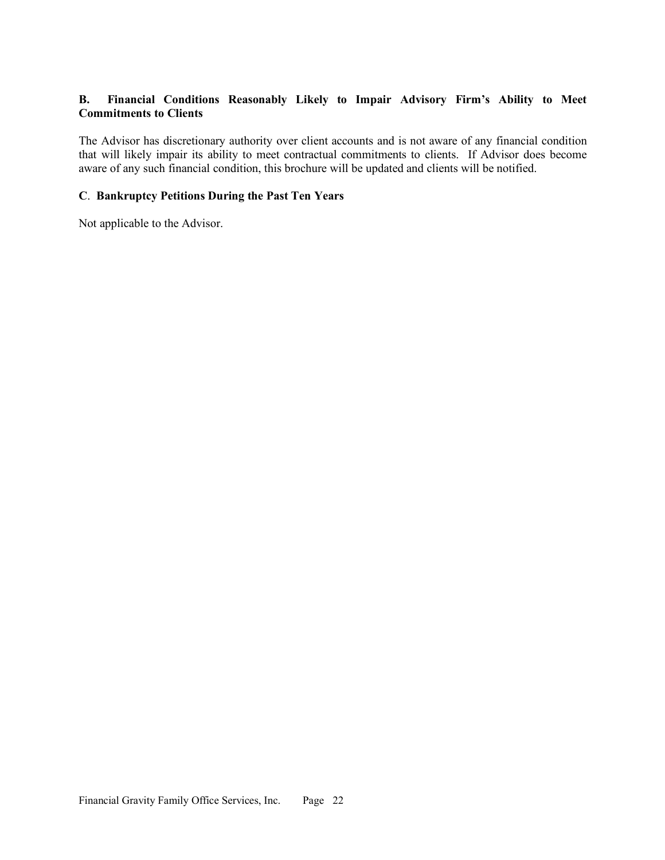# **B. Financial Conditions Reasonably Likely to Impair Advisory Firm's Ability to Meet Commitments to Clients**

The Advisor has discretionary authority over client accounts and is not aware of any financial condition that will likely impair its ability to meet contractual commitments to clients. If Advisor does become aware of any such financial condition, this brochure will be updated and clients will be notified.

## **C**. **Bankruptcy Petitions During the Past Ten Years**

Not applicable to the Advisor.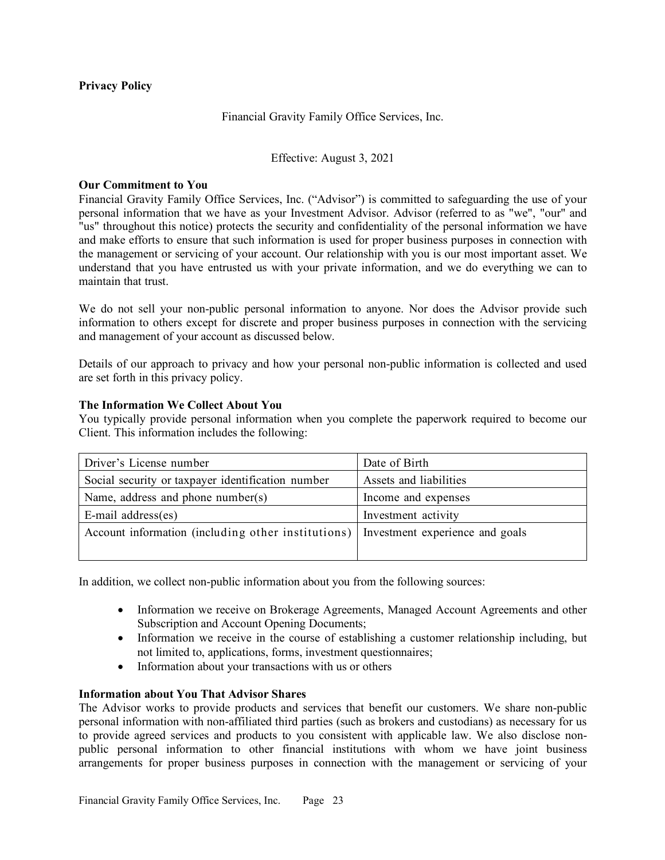## **Privacy Policy**

## Financial Gravity Family Office Services, Inc.

## Effective: August 3, 2021

### **Our Commitment to You**

Financial Gravity Family Office Services, Inc. ("Advisor") is committed to safeguarding the use of your personal information that we have as your Investment Advisor. Advisor (referred to as "we", "our" and "us" throughout this notice) protects the security and confidentiality of the personal information we have and make efforts to ensure that such information is used for proper business purposes in connection with the management or servicing of your account. Our relationship with you is our most important asset. We understand that you have entrusted us with your private information, and we do everything we can to maintain that trust.

We do not sell your non-public personal information to anyone. Nor does the Advisor provide such information to others except for discrete and proper business purposes in connection with the servicing and management of your account as discussed below.

Details of our approach to privacy and how your personal non-public information is collected and used are set forth in this privacy policy.

### **The Information We Collect About You**

You typically provide personal information when you complete the paperwork required to become our Client. This information includes the following:

| Driver's License number                                                              | Date of Birth          |
|--------------------------------------------------------------------------------------|------------------------|
| Social security or taxpayer identification number                                    | Assets and liabilities |
| Name, address and phone number(s)                                                    | Income and expenses    |
| $E$ -mail address $(es)$                                                             | Investment activity    |
| Account information (including other institutions)   Investment experience and goals |                        |
|                                                                                      |                        |

In addition, we collect non-public information about you from the following sources:

- Information we receive on Brokerage Agreements, Managed Account Agreements and other Subscription and Account Opening Documents;
- Information we receive in the course of establishing a customer relationship including, but not limited to, applications, forms, investment questionnaires;
- Information about your transactions with us or others

# **Information about You That Advisor Shares**

The Advisor works to provide products and services that benefit our customers. We share non-public personal information with non-affiliated third parties (such as brokers and custodians) as necessary for us to provide agreed services and products to you consistent with applicable law. We also disclose nonpublic personal information to other financial institutions with whom we have joint business arrangements for proper business purposes in connection with the management or servicing of your